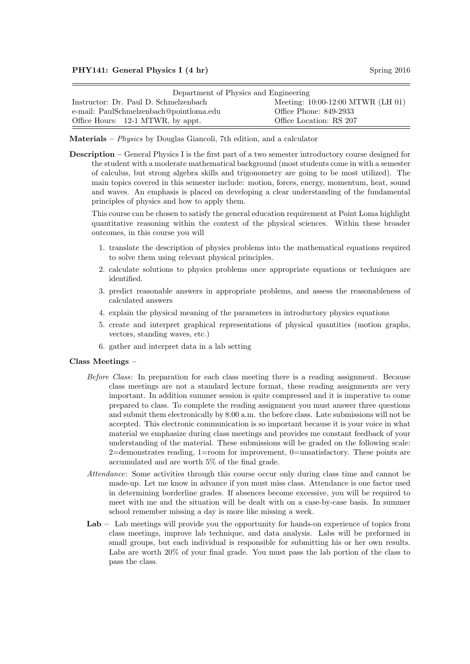| Department of Physics and Engineering   |                                     |  |  |
|-----------------------------------------|-------------------------------------|--|--|
| Instructor: Dr. Paul D. Schmelzenbach   | Meeting: $10:00-12:00$ MTWR (LH 01) |  |  |
| e-mail: PaulSchmelzenbach@pointloma.edu | Office Phone: 849-2933              |  |  |
| Office Hours: 12-1 MTWR, by appt.       | Office Location: RS 207             |  |  |

Materials –  $Physics$  by Douglas Giancoli, 7th edition, and a calculator

Description – General Physics I is the first part of a two semester introductory course designed for the student with a moderate mathematical background (most students come in with a semester of calculus, but strong algebra skills and trigonometry are going to be most utilized). The main topics covered in this semester include: motion, forces, energy, momentum, heat, sound and waves. An emphasis is placed on developing a clear understanding of the fundamental principles of physics and how to apply them.

This course can be chosen to satisfy the general education requirement at Point Loma highlight quantitative reasoning within the context of the physical sciences. Within these broader outcomes, in this course you will

- 1. translate the description of physics problems into the mathematical equations required to solve them using relevant physical principles.
- 2. calculate solutions to physics problems once appropriate equations or techniques are identified.
- 3. predict reasonable answers in appropriate problems, and assess the reasonableness of calculated answers
- 4. explain the physical meaning of the parameters in introductory physics equations
- 5. create and interpret graphical representations of physical quantities (motion graphs, vectors, standing waves, etc.)
- 6. gather and interpret data in a lab setting

## Class Meetings –

- Before Class: In preparation for each class meeting there is a reading assignment. Because class meetings are not a standard lecture format, these reading assignments are very important. In addition summer session is quite compressed and it is imperative to come prepared to class. To complete the reading assignment you must answer three questions and submit them electronically by 8:00 a.m. the before class. Late submissions will not be accepted. This electronic communication is so important because it is your voice in what material we emphasize during class meetings and provides me constant feedback of your understanding of the material. These submissions will be graded on the following scale: 2=demonstrates reading, 1=room for improvement, 0=unsatisfactory. These points are accumulated and are worth 5% of the final grade.
- Attendance: Some activities through this course occur only during class time and cannot be made-up. Let me know in advance if you must miss class. Attendance is one factor used in determining borderline grades. If absences become excessive, you will be required to meet with me and the situation will be dealt with on a case-by-case basis. In summer school remember missing a day is more like missing a week.
- Lab Lab meetings will provide you the opportunity for hands-on experience of topics from class meetings, improve lab technique, and data analysis. Labs will be preformed in small groups, but each individual is responsible for submitting his or her own results. Labs are worth 20% of your final grade. You must pass the lab portion of the class to pass the class.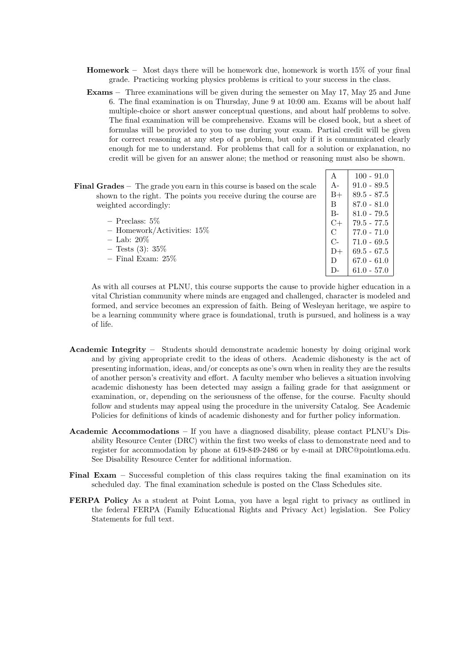- Homework Most days there will be homework due, homework is worth 15% of your final grade. Practicing working physics problems is critical to your success in the class.
- Exams Three examinations will be given during the semester on May 17, May 25 and June 6. The final examination is on Thursday, June 9 at 10:00 am. Exams will be about half multiple-choice or short answer conceptual questions, and about half problems to solve. The final examination will be comprehensive. Exams will be closed book, but a sheet of formulas will be provided to you to use during your exam. Partial credit will be given for correct reasoning at any step of a problem, but only if it is communicated clearly enough for me to understand. For problems that call for a solution or explanation, no credit will be given for an answer alone; the method or reasoning must also be shown.

| А             | $100 - 91.0$  |  |
|---------------|---------------|--|
| $A-$          | $91.0 - 89.5$ |  |
| $B+$          | $89.5 - 87.5$ |  |
| B             | $87.0 - 81.0$ |  |
| $B-$          | $81.0 - 79.5$ |  |
| $C+$          | $79.5 - 77.5$ |  |
| $\mathcal{C}$ | $77.0 - 71.0$ |  |
| $C-$          | $71.0 - 69.5$ |  |
| $D+$          | $69.5 - 67.5$ |  |
| D             | $67.0 - 61.0$ |  |
| $D-$          | $61.0 - 57.0$ |  |
|               |               |  |

As with all courses at PLNU, this course supports the cause to provide higher education in a vital Christian community where minds are engaged and challenged, character is modeled and formed, and service becomes an expression of faith. Being of Wesleyan heritage, we aspire to be a learning community where grace is foundational, truth is pursued, and holiness is a way of life.

- Academic Integrity Students should demonstrate academic honesty by doing original work and by giving appropriate credit to the ideas of others. Academic dishonesty is the act of presenting information, ideas, and/or concepts as one's own when in reality they are the results of another person's creativity and effort. A faculty member who believes a situation involving academic dishonesty has been detected may assign a failing grade for that assignment or examination, or, depending on the seriousness of the offense, for the course. Faculty should follow and students may appeal using the procedure in the university Catalog. See Academic Policies for definitions of kinds of academic dishonesty and for further policy information.
- Academic Accommodations If you have a diagnosed disability, please contact PLNU's Disability Resource Center (DRC) within the first two weeks of class to demonstrate need and to register for accommodation by phone at 619-849-2486 or by e-mail at DRC@pointloma.edu. See Disability Resource Center for additional information.
- Final Exam Successful completion of this class requires taking the final examination on its scheduled day. The final examination schedule is posted on the Class Schedules site.
- FERPA Policy As a student at Point Loma, you have a legal right to privacy as outlined in the federal FERPA (Family Educational Rights and Privacy Act) legislation. See Policy Statements for full text.